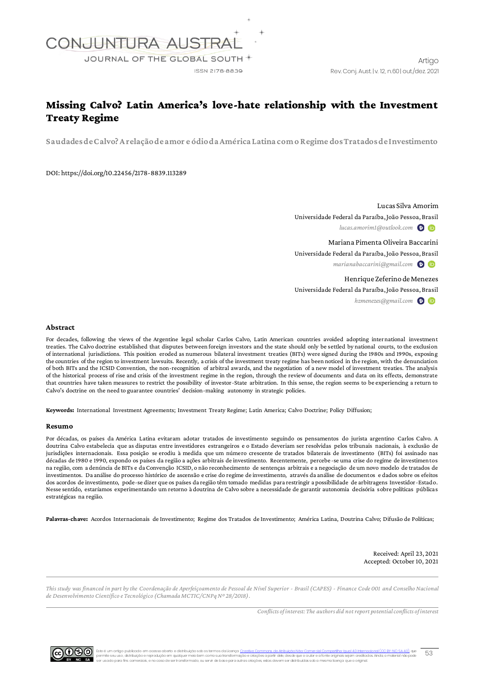

# Missing Calvo? Latin America's love-hate relationship with the Investment Treaty Regime

**Saudades de Calvo? A relação de amor e ódio da América Latina com o Regime dos Tratados de Investimento**

DOI: https://doi.org/10.22456/2178-8839.113289

Lucas Silva Amorim Universidade Federal da Paraíba, João Pessoa, Brasil *lucas.amorim1@outlook.com*

Mariana Pimenta Oliveira Baccarini Universidade Federal da Paraíba, João Pessoa, Brasil *marianabaccarini@gmail.com*

Henrique Zeferino de Menezes Universidade Federal da Paraíba, João Pessoa, Brasil

*hzmenezes@gmail.com*

### **Abstract**

For decades, following the views of the Argentine legal scholar Carlos Calvo, Latin American countries avoided adopting international investment treaties. The Calvo doctrine established that disputes between foreign investors and the state should only be settled by national courts, to the exclusion of international jurisdictions. This position eroded as numerous bilateral investment treaties (BITs) were signed during the 1980s and 1990s, exposing the countries of the region to investment lawsuits. Recently, a crisis of the investment treaty regime has been noticed in the region, with the denunciation of both BITs and the ICSID Convention, the non-recognition of arbitral awards, and the negotiation of a new model of investment treaties. The analysis of the historical process of rise and crisis of the investment regime in the region, through the review of documents and data on its effects, demonstrate that countries have taken measures to restrict the possibility of investor-State arbitration. In this sense, the region seems to be experiencing a return to Calvo's doctrine on the need to guarantee countries' decision-making autonomy in strategic policies.

**Keywords:** International Investment Agreements; Investment Treaty Regime; Latin America; Calvo Doctrine; Policy Diffusion;

#### **Resumo**

Por décadas, os países da América Latina evitaram adotar tratados de investimento seguindo os pensamentos do jurista argentino Carlos Calvo. A doutrina Calvo estabelecia que as disputas entre investidores estrangeiros e o Estado deveriam ser resolvidas pelos tribunais nacionais, à exclusão de jurisdições internacionais. Essa posição se erodiu à medida que um número crescente de tratados bilaterais de investimento (BITs) foi assinado nas décadas de 1980 e 1990, expondo os países da região a ações arbitrais de investimento. Recentemente, percebe-se uma crise do regime de investimentos na região, com a denúncia de BITs e da Convenção ICSID, o não reconhecimento de sentenças arbitrais e a negociação de um novo modelo de tratados de investimentos. Da análise do processo histórico de ascensão e crise do regime de investimento, através da análise de documentos e dados sobre os efeitos dos acordos de investimento, pode-se dizer que os países da região têm tomado medidas para restringir a possibilidade de arbitragens Investidor-Estado. Nesse sentido, estaríamos experimentando um retorno à doutrina de Calvo sobre a necessidade de garantir autonomia decisória sobre políticas públicas estratégicas na região.

**Palavras-chave:** Acordos Internacionais de Investimento; Regime dos Tratados de Investimento; América Latina, Doutrina Calvo; Difusão de Políticas;

Received: April 23, 2021 Accepted: October 10, 2021

*This study was financed in part by the Coordenação de Aperfeiçoamento de Pessoal de Nível Superior - Brasil (CAPES) - Finance Code 001 and Conselho Nacional de Desenvolvimento Científico e Tecnológico (Chamada MCTIC/CNPq Nº 28/2018).*

*Conflicts of interest: The authors did not report potential conflicts of interest*



 $53$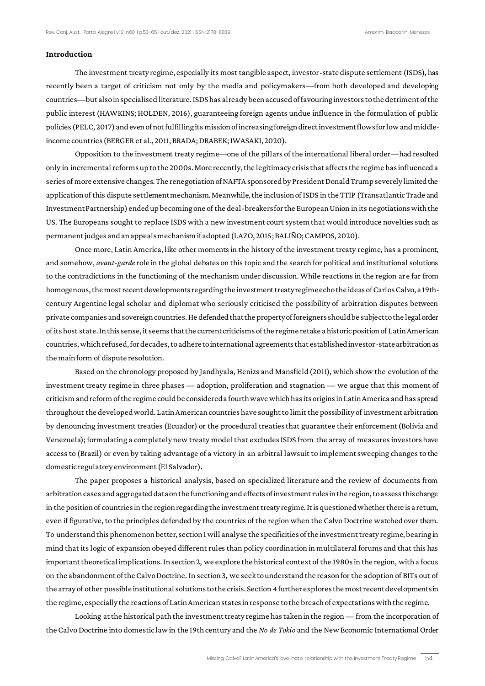### **Introduction**

The investment treaty regime, especially its most tangible aspect, investor-state dispute settlement (ISDS), has recently been a target of criticism not only by the media and policymakers—from both developed and developing countries—but also in specialised literature. ISDS has already been accused of favouring investors to the detriment of the public interest (HAWKINS; HOLDEN, 2016), guaranteeing foreign agents undue influence in the formulation of public policies (PELC, 2017) and even of not fulfilling its mission of increasing foreign direct investment flows for low and middleincome countries (BERGER et al*.*, 2011, BRADA; DRABEK; IWASAKI, 2020).

Opposition to the investment treaty regime—one of the pillars of the international liberal order—had resulted only in incremental reforms up to the 2000s. More recently, the legitimacy crisis that affects the regime has influenced a series of more extensive changes. The renegotiation of NAFTA sponsored by President Donald Trump severely limited the application of this dispute settlement mechanism. Meanwhile, the inclusion of ISDS in the TTIP (Transatlantic Trade and Investment Partnership) ended up becoming one of the deal-breakers for the European Union in its negotiations with the US. The Europeans sought to replace ISDS with a new investment court system that would introduce novelties such as permanent judges and an appeals mechanism if adopted (LAZO, 2015; BALIÑO; CAMPOS, 2020).

Once more, Latin America, like other moments in the history of the investment treaty regime, has a prominent, and somehow, *avant-garde* role in the global debates on this topic and the search for political and institutional solutions to the contradictions in the functioning of the mechanism under discussion. While reactions in the region are far from homogenous, the most recent developments regarding the investment treaty regime echo the ideas of Carlos Calvo, a 19thcentury Argentine legal scholar and diplomat who seriously criticised the possibility of arbitration disputes between private companies and sovereign countries. He defended that the property of foreigners should be subject to the legal order of its host state. In this sense, it seems that the current criticisms of the regime retake a historic position of Latin American countries,which refused, for decades, to adhere to international agreements that established investor-state arbitration as the main form of dispute resolution.

Based on the chronology proposed by Jandhyala, Henizs and Mansfield (2011), which show the evolution of the investment treaty regime in three phases — adoption, proliferation and stagnation — we argue that this moment of criticism and reform of the regime could be considered a fourth wave which has its origins in Latin America and has spread throughout the developed world. Latin American countries have sought to limit the possibility of investment arbitration by denouncing investment treaties (Ecuador) or the procedural treaties that guarantee their enforcement (Bolivia and Venezuela); formulating a completely new treaty model that excludes ISDS from the array of measures investors have access to (Brazil) or even by taking advantage of a victory in an arbitral lawsuit to implement sweeping changes to the domestic regulatory environment (El Salvador).

The paper proposes a historical analysis, based on specialized literature and the review of documents from arbitration cases and aggregated data on the functioning and effects of investment rules in the region, to assess this change in the position of countries in the region regarding the investment treaty regime. It is questioned whether there is a return, even if figurative, to the principles defended by the countries of the region when the Calvo Doctrine watched over them. To understand this phenomenon better, section 1 will analyse the specificities of the investment treaty regime, bearing in mind that its logic of expansion obeyed different rules than policy coordination in multilateral forums and that this has important theoretical implications. In section 2, we explore the historical context of the 1980s in the region, with a focus on the abandonment of the Calvo Doctrine. In section 3, we seek to understand the reason for the adoption of BITs out of the array of other possible institutional solutions to the crisis. Section 4 further explores the most recent developments in the regime, especially the reactions of Latin American states in response to the breach of expectations with the regime.

Looking at the historical path the investment treaty regime has taken in the region — from the incorporation of the Calvo Doctrine into domestic law in the 19th century and the *No de Tokio* and the New Economic International Order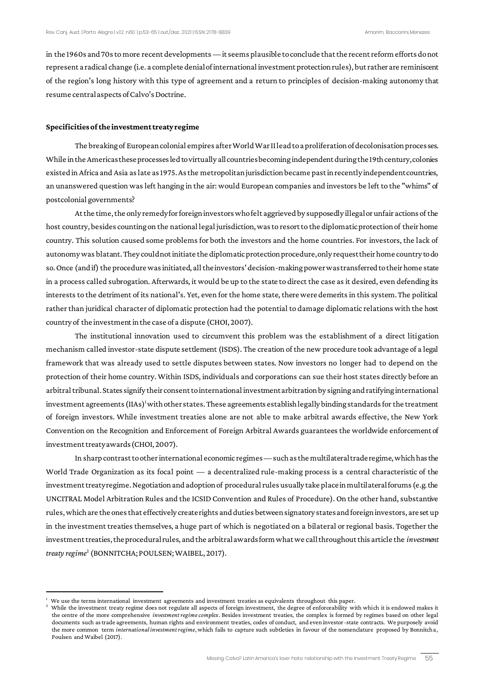in the 1960s and 70s to more recent developments —it seems plausible to conclude that the recent reform efforts do not represent a radical change (i.e. a complete denial of international investment protection rules), but rather are reminiscent of the region's long history with this type of agreement and a return to principles of decision-making autonomy that resume central aspects of Calvo's Doctrine.

### **Specificities of the investment treaty regime**

The breaking of European colonial empires after World War II lead to a proliferation of decolonisation processes. While in the Americas these processes led to virtually all countries becoming independent during the 19th century, colonies existed in Africa and Asia as late as 1975. As the metropolitan jurisdiction became past in recently independent countries, an unanswered question was left hanging in the air: would European companies and investors be left to the "whims" of postcolonial governments?

At the time, the only remedy for foreign investors who felt aggrieved by supposedly illegal or unfair actions of the host country, besides counting on the national legal jurisdiction, was to resort to the diplomatic protection of their home country. This solution caused some problems for both the investors and the home countries. For investors, the lack of autonomy was blatant. They could not initiate the diplomatic protection procedure, only request their home country to do so. Once (and if) the procedure was initiated, all the investors' decision-making power was transferred to their home state in a process called subrogation. Afterwards, it would be up to the state to direct the case as it desired, even defending its interests to the detriment of its national's. Yet, even for the home state, there were demerits in this system. The political rather than juridical character of diplomatic protection had the potential to damage diplomatic relations with the host country of the investment in the case of a dispute (CHOI, 2007).

The institutional innovation used to circumvent this problem was the establishment of a direct litigation mechanism called investor-state dispute settlement (ISDS). The creation of the new procedure took advantage of a legal framework that was already used to settle disputes between states. Now investors no longer had to depend on the protection of their home country. Within ISDS, individuals and corporations can sue their host states directly before an arbitral tribunal. States signify their consent to international investment arbitration by signing and ratifying international investment agreements (IIAs)<sup>1</sup>with other states. These agreements establish legally binding standards for the treatment of foreign investors. While investment treaties alone are not able to make arbitral awards effective, the New York Convention on the Recognition and Enforcement of Foreign Arbitral Awards guarantees the worldwide enforcement of investment treaty awards (CHOI, 2007).

In sharp contrast to other international economic regimes—such as the multilateral trade regime, which has the World Trade Organization as its focal point — a decentralized rule-making process is a central characteristic of the investment treaty regime. Negotiation and adoption of procedural rules usually take place in multilateral forums (e.g. the UNCITRAL Model Arbitration Rules and the ICSID Convention and Rules of Procedure). On the other hand, substantive rules, which are the ones that effectively create rights and duties between signatory states and foreign investors, are set up in the investment treaties themselves, a huge part of which is negotiated on a bilateral or regional basis. Together the investment treaties, the procedural rules, and the arbitral awards form what we call throughout this article the *investment treaty regime*<sup>2</sup> (BONNITCHA; POULSEN; WAIBEL, 2017).

<sup>1</sup> We use the terms international investment agreements and investment treaties as equivalents throughout this paper.

<sup>2</sup> While the investment treaty regime does not regulate all aspects of foreign investment, the degree of enforceability with which it is endowed makes it the centre of the more comprehensive *investment regime complex*. Besides investment treaties, the complex is formed by regimes based on other legal documents such as trade agreements, human rights and environment treaties, codes of conduct, and even investor-state contracts. We purposely avoid the more common term *international investment regime*, which fails to capture such subtleties in favour of the nomenclature proposed by Bonnitcha, Poulsen and Waibel (2017).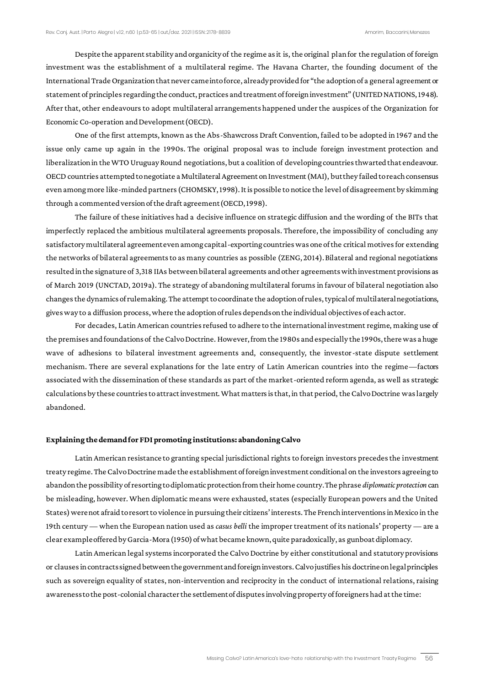Despite the apparent stability and organicity of the regime as it is, the original plan for the regulation of foreign investment was the establishment of a multilateral regime. The Havana Charter, the founding document of the International Trade Organization that never came into force, already provided for "the adoption of a general agreement or statement of principles regarding the conduct, practices and treatment of foreign investment" (UNITED NATIONS, 1948). After that, other endeavours to adopt multilateral arrangements happened under the auspices of the Organization for Economic Co-operation and Development (OECD).

One of the first attempts, known as the Abs-Shawcross Draft Convention, failed to be adopted in 1967 and the issue only came up again in the 1990s. The original proposal was to include foreign investment protection and liberalization in the WTO Uruguay Round negotiations, but a coalition of developing countries thwarted that endeavour. OECD countries attempted to negotiate a Multilateral Agreement on Investment (MAI), but they failed to reach consensus even among more like-minded partners (CHOMSKY, 1998). It is possible to notice the level of disagreement by skimming through a commented version of the draft agreement (OECD, 1998).

The failure of these initiatives had a decisive influence on strategic diffusion and the wording of the BITs that imperfectly replaced the ambitious multilateral agreements proposals. Therefore, the impossibility of concluding any satisfactory multilateral agreement even among capital-exporting countries was one of the critical motives for extending the networks of bilateral agreements to as many countries as possible (ZENG, 2014). Bilateral and regional negotiations resulted in the signature of 3,318 IIAs between bilateral agreements and other agreements with investment provisions as of March 2019 (UNCTAD, 2019a). The strategy of abandoning multilateral forums in favour of bilateral negotiation also changes the dynamics of rulemaking. The attempt to coordinate the adoption of rules, typical of multilateral negotiations, gives way to a diffusion process, where the adoption of rules depends on the individual objectives of each actor.

For decades, Latin American countries refused to adhere to the international investment regime, making use of the premises and foundations of the Calvo Doctrine. However, from the 1980s and especially the 1990s, there was a huge wave of adhesions to bilateral investment agreements and, consequently, the investor-state dispute settlement mechanism. There are several explanations for the late entry of Latin American countries into the regime—factors associated with the dissemination of these standards as part of the market-oriented reform agenda, as well as strategic calculations by these countries to attract investment. What matters is that, in that period, the Calvo Doctrine was largely abandoned.

### **Explaining the demand for FDI promoting institutions: abandoning Calvo**

Latin American resistance to granting special jurisdictional rights to foreign investors precedes the investment treaty regime. The Calvo Doctrine made the establishment of foreign investment conditional on the investors agreeing to abandon the possibility of resorting to diplomatic protection from their home country. The phrase *diplomatic protection* can be misleading, however. When diplomatic means were exhausted, states (especially European powers and the United States) were not afraid to resort to violence in pursuing their citizens' interests. The French interventions in Mexico in the 19th century — when the European nation used as *casus belli* the improper treatment of its nationals' property — are a clear example offered by Garcia-Mora (1950) of what became known, quite paradoxically, as gunboat diplomacy.

Latin American legal systems incorporated the Calvo Doctrine by either constitutional and statutory provisions or clauses in contracts signed between the government and foreign investors. Calvo justifies his doctrine on legal principles such as sovereign equality of states, non-intervention and reciprocity in the conduct of international relations, raising awareness to the post-colonial character the settlement of disputes involving property of foreigners had at the time: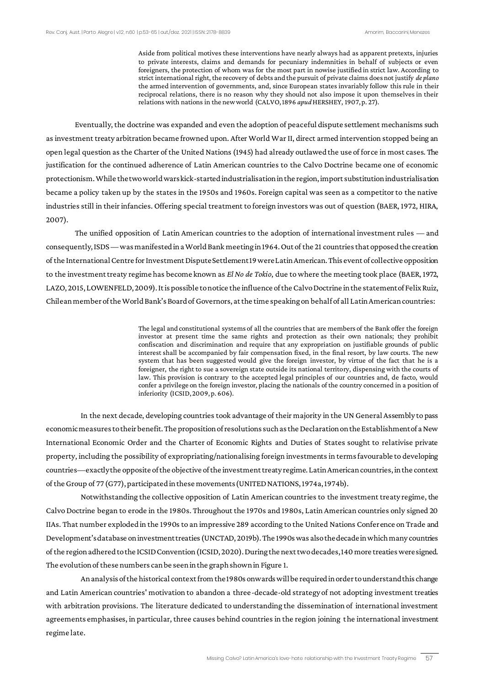Aside from political motives these interventions have nearly always had as apparent pretexts, injuries to private interests, claims and demands for pecuniary indemnities in behalf of subjects or even foreigners, the protection of whom was for the most part in nowise justified in strict law. According to strict international right, the recovery of debts and the pursuit of private claims does not justify *de plano* the armed intervention of governments, and, since European states invariably follow this rule in their reciprocal relations, there is no reason why they should not also impose it upon themselves in their relations with nations in the new world (CALVO, 1896 *apud* HERSHEY, 1907, p. 27).

Eventually, the doctrine was expanded and even the adoption of peaceful dispute settlement mechanisms such as investment treaty arbitration became frowned upon. After World War II, direct armed intervention stopped being an open legal question as the Charter of the United Nations (1945) had already outlawed the use of force in most cases. The justification for the continued adherence of Latin American countries to the Calvo Doctrine became one of economic protectionism. While the two world wars kick-started industrialisation in the region, import substitution industrialisation became a policy taken up by the states in the 1950s and 1960s. Foreign capital was seen as a competitor to the native industries still in their infancies. Offering special treatment to foreign investors was out of question (BAER, 1972, HIRA, 2007).

The unified opposition of Latin American countries to the adoption of international investment rules — and consequently, ISDS—was manifested in a World Bank meeting in 1964. Out of the 21 countries that opposed the creation of the International Centre for Investment Dispute Settlement 19 were Latin American. This event of collective opposition to the investment treaty regime has become known as *El No de Tokio*, due to where the meeting took place (BAER, 1972, LAZO, 2015, LOWENFELD, 2009). It is possible to notice the influence of the Calvo Doctrine in the statement of Felix Ruiz, Chilean member of the World Bank's Board of Governors, at the time speaking on behalf of all Latin American countries:

> The legal and constitutional systems of all the countries that are members of the Bank offer the foreign investor at present time the same rights and protection as their own nationals; they prohibit confiscation and discrimination and require that any expropriation on justifiable grounds of public interest shall be accompanied by fair compensation fixed, in the final resort, by law courts. The new system that has been suggested would give the foreign investor, by virtue of the fact that he is a foreigner, the right to sue a sovereign state outside its national territory, dispensing with the courts of law. This provision is contrary to the accepted legal principles of our countries and, de facto, would confer a privilege on the foreign investor, placing the nationals of the country concerned in a position of inferiority (ICSID, 2009, p. 606).

In the next decade, developing countries took advantage of their majority in the UN General Assembly to pass economic measures to their benefit. The proposition of resolutions such as the Declaration on the Establishment of a New International Economic Order and the Charter of Economic Rights and Duties of States sought to relativise private property, including the possibility of expropriating/nationalising foreign investments in terms favourable to developing countries—exactly the opposite of the objective of the investment treaty regime. Latin American countries, in the context of the Group of 77 (G77), participated in these movements (UNITED NATIONS, 1974a, 1974b).

Notwithstanding the collective opposition of Latin American countries to the investment treaty regime, the Calvo Doctrine began to erode in the 1980s. Throughout the 1970s and 1980s, Latin American countries only signed 20 IIAs. That number exploded in the 1990s to an impressive 289 according to the United Nations Conference on Trade and Development's database on investment treaties (UNCTAD, 2019b). The 1990s was also the decade in which many countries of the region adhered to the ICSID Convention (ICSID, 2020). During the next two decades, 140 more treaties were signed. The evolution of these numbers can be seen in the graph shown in Figure 1.

An analysis of the historical context from the 1980s onwards will be required in order to understand this change and Latin American countries' motivation to abandon a three-decade-old strategy of not adopting investment treaties with arbitration provisions. The literature dedicated to understanding the dissemination of international investment agreements emphasises, in particular, three causes behind countries in the region joining the international investment regime late.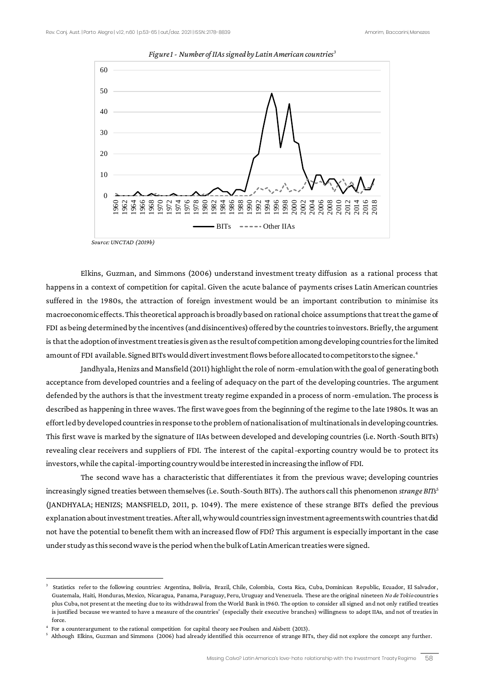

*Figure 1 - Number of IIAs signed by Latin American countries<sup>3</sup>*

 *Source: UNCTAD (2019b)*

Elkins, Guzman, and Simmons (2006) understand investment treaty diffusion as a rational process that happens in a context of competition for capital. Given the acute balance of payments crises Latin American countries suffered in the 1980s, the attraction of foreign investment would be an important contribution to minimise its macroeconomic effects. This theoretical approach is broadly based on rational choice assumptions that treat the game of FDI as being determined by the incentives (and disincentives) offered by the countries to investors. Briefly, the argument is that the adoption of investment treaties is given as the result of competition among developing countries for the limited amount of FDI available. Signed BITs would divert investment flows before allocated to competitors to the signee.<sup>4</sup>

Jandhyala, Henizs and Mansfield (2011) highlight the role of norm-emulation with the goal of generating both acceptance from developed countries and a feeling of adequacy on the part of the developing countries. The argument defended by the authors is that the investment treaty regime expanded in a process of norm-emulation. The process is described as happening in three waves. The first wave goes from the beginning of the regime to the late 1980s. It was an effort led by developed countries in response to the problem of nationalisation of multinationals in developing countries. This first wave is marked by the signature of IIAs between developed and developing countries (i.e. North-South BITs) revealing clear receivers and suppliers of FDI. The interest of the capital-exporting country would be to protect its investors, while the capital-importing country would be interested in increasing the inflow of FDI.

The second wave has a characteristic that differentiates it from the previous wave; developing countries increasingly signed treaties between themselves (i.e. South-South BITs). The authors call this phenomenon *strange BITs*<sup>5</sup> (JANDHYALA; HENIZS; MANSFIELD, 2011, p. 1049). The mere existence of these strange BITs defied the previous explanation about investment treaties. After all, why would countries sign investment agreements with countries that did not have the potential to benefit them with an increased flow of FDI? This argument is especially important in the case under study as this second wave is the period when the bulk of Latin American treaties were signed.

<sup>3</sup> Statistics refer to the following countries: Argentina, Bolivia, Brazil, Chile, Colombia, Costa Rica, Cuba, Dominican Republic, Ecuador, El Salvador , Guatemala, Haiti, Honduras, Mexico, Nicaragua, Panama, Paraguay, Peru, Uruguay and Venezuela. These are the original nineteen *No de Tokio* countrie s plus Cuba, not present at the meeting due to its withdrawal from the World Bank in 1960. The option to consider all signed and not only ratified treaties is justified because we wanted to have a measure of the countries' (especially their executive branches) willingness to adopt IIAs, and not of treaties in force.

<sup>4</sup> For a counterargument to the rational competition for capital theory see Poulsen and Aisbett (2013).

<sup>5</sup> Although Elkins, Guzman and Simmons (2006) had already identified this occurrence of strange BITs, they did not explore the concept any further.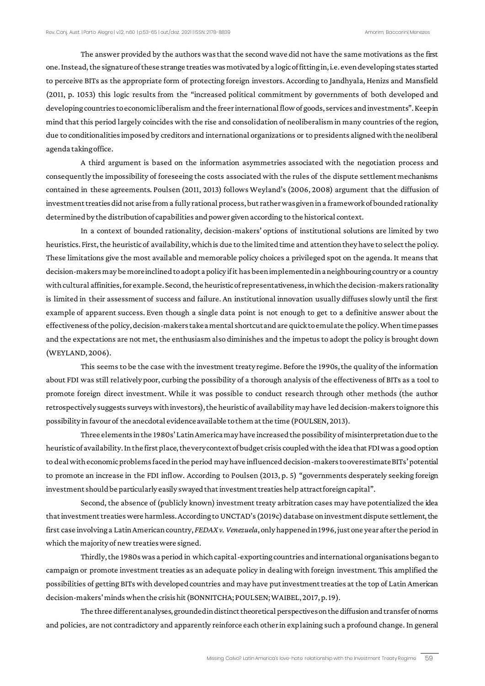The answer provided by the authors was that the second wave did not have the same motivations as the first one. Instead, the signature of these strange treaties was motivated by a logic of fitting in, i.e. even developing states started to perceive BITs as the appropriate form of protecting foreign investors. According to Jandhyala, Henizs and Mansfield (2011, p. 1053) this logic results from the "increased political commitment by governments of both developed and developing countries to economic liberalism and the freer international flow of goods, services and investments". Keep in mind that this period largely coincides with the rise and consolidation of neoliberalism in many countries of the region, due to conditionalities imposed by creditors and international organizations or to presidents aligned with the neoliberal agenda taking office.

A third argument is based on the information asymmetries associated with the negotiation process and consequently the impossibility of foreseeing the costs associated with the rules of the dispute settlement mechanisms contained in these agreements. Poulsen (2011, 2013) follows Weyland's (2006, 2008) argument that the diffusion of investment treaties did not arise from a fully rational process, but rather was given in a framework of bounded rationality determined by the distribution of capabilities and power given according to the historical context.

In a context of bounded rationality, decision-makers' options of institutional solutions are limited by two heuristics. First, the heuristic of availability, which is due to the limited time and attention they have to select the policy. These limitations give the most available and memorable policy choices a privileged spot on the agenda. It means that decision-makers may be more inclined to adopt a policy if it has been implemented in a neighbouring country or a country with cultural affinities, for example. Second, the heuristic of representativeness, in which the decision-makers rationality is limited in their assessment of success and failure. An institutional innovation usually diffuses slowly until the first example of apparent success. Even though a single data point is not enough to get to a definitive answer about the effectiveness of the policy, decision-makers take a mental shortcut and are quick to emulate the policy. When time passes and the expectations are not met, the enthusiasm also diminishes and the impetus to adopt the policy is brought down (WEYLAND, 2006).

This seems to be the case with the investment treaty regime. Before the 1990s, the quality of the information about FDI was still relatively poor, curbing the possibility of a thorough analysis of the effectiveness of BITs as a tool to promote foreign direct investment. While it was possible to conduct research through other methods (the author retrospectively suggests surveys with investors), the heuristic of availability may have led decision-makers to ignore this possibility in favour of the anecdotal evidence available to them at the time (POULSEN, 2013).

Three elements in the 1980s' Latin America may have increased the possibility of misinterpretation due to the heuristic of availability. In the first place, the very context of budget crisis coupled with the idea that FDI was a good option to deal with economic problems faced in the period may have influenced decision-makers to overestimate BITs' potential to promote an increase in the FDI inflow. According to Poulsen (2013, p. 5) "governments desperately seeking foreign investment should be particularly easily swayed that investment treaties help attract foreign capital".

Second, the absence of (publicly known) investment treaty arbitration cases may have potentialized the idea that investment treaties were harmless. According to UNCTAD's (2019c) database on investment dispute settlement, the first case involving a Latin American country, *FEDAX v. Venezuela*, only happened in 1996, just one year after the period in which the majority of new treaties were signed.

Thirdly, the 1980s was a period in which capital-exporting countries and international organisations began to campaign or promote investment treaties as an adequate policy in dealing with foreign investment. This amplified the possibilities of getting BITs with developed countries and may have put investment treaties at the top of Latin American decision-makers'minds when the crisis hit (BONNITCHA; POULSEN; WAIBEL, 2017, p. 19).

The three different analyses, grounded in distinct theoretical perspectives on the diffusion and transfer of norms and policies, are not contradictory and apparently reinforce each other in explaining such a profound change. In general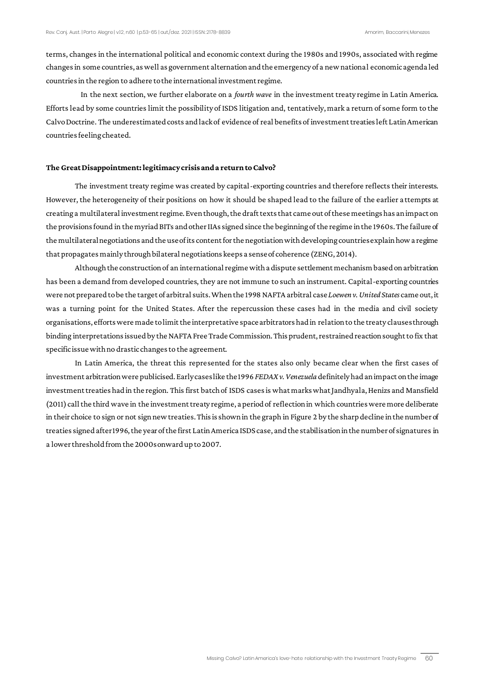terms, changes in the international political and economic context during the 1980s and 1990s, associated with regime changes in some countries, as well as government alternation and the emergency of a new national economic agenda led countries in the region to adhere to the international investment regime.

In the next section, we further elaborate on a *fourth wave* in the investment treaty regime in Latin America. Efforts lead by some countries limit the possibility of ISDS litigation and, tentatively, mark a return of some form to the Calvo Doctrine. The underestimated costs and lack of evidence of real benefits of investment treaties left Latin American countries feeling cheated.

## **The Great Disappointment: legitimacy crisis and a return to Calvo?**

The investment treaty regime was created by capital-exporting countries and therefore reflects their interests. However, the heterogeneity of their positions on how it should be shaped lead to the failure of the earlier attempts at creating a multilateral investment regime. Even though, the draft texts that came out of these meetings has an impact on the provisions found in the myriad BITs and other IIAs signed since the beginning of the regime in the 1960s. The failure of the multilateral negotiations and the use of its content for the negotiation with developing countries explain how a regime that propagates mainly through bilateral negotiations keeps a sense of coherence (ZENG, 2014).

Although the construction of an international regime with a dispute settlement mechanism based on arbitration has been a demand from developed countries, they are not immune to such an instrument. Capital-exporting countries were not prepared to be the target of arbitral suits. When the 1998NAFTA arbitral case *Loewen v. United States* came out, it was a turning point for the United States. After the repercussion these cases had in the media and civil society organisations, efforts were made to limit the interpretative space arbitrators had in relation to the treaty clauses through binding interpretations issued by the NAFTA Free Trade Commission. This prudent, restrained reaction sought to fix that specific issue with no drastic changes to the agreement.

In Latin America, the threat this represented for the states also only became clear when the first cases of investment arbitration were publicised. Early cases like the 1996 *FEDAX v. Venezuela* definitely had an impact on the image investment treaties had in the region. This first batch of ISDS cases is what marks what Jandhyala, Henizs and Mansfield (2011) call the third wave in the investment treaty regime, a period of reflection in which countries were more deliberate in their choice to sign or not sign new treaties. This is shown in the graph in Figure 2 by the sharp decline in the number of treaties signed after 1996, the year of the first Latin America ISDS case, and the stabilisation in the number of signatures in a lower threshold from the 2000s onward up to 2007.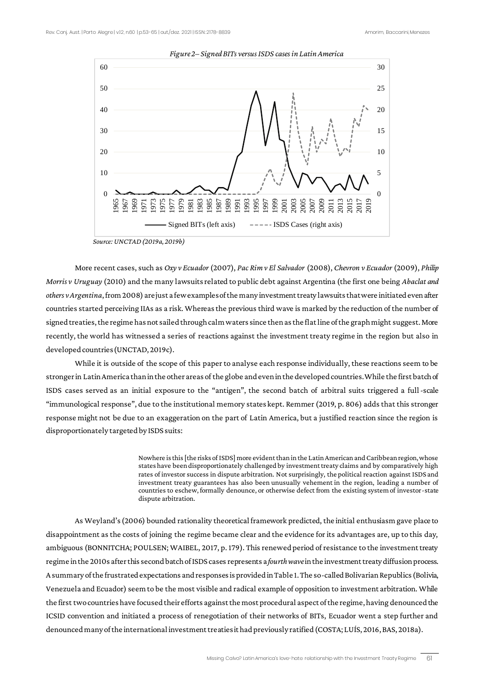

#### *Figure 2– Signed BITs versus ISDS cases in Latin America*

More recent cases, such as *Oxy v Ecuador* (2007), *Pac Rim v El Salvador* (2008), *Chevron v Ecuador* (2009), *Philip Morris v Uruguay* (2010) and the many lawsuits related to public debt against Argentina (the first one being *Abaclat and others v Argentina*, from 2008) are just a few examples of the many investment treaty lawsuits that were initiated even after countries started perceiving IIAs as a risk. Whereas the previous third wave is marked by the reduction of the number of signed treaties, the regime has not sailed through calm waters since then as the flat line of the graph might suggest. More recently, the world has witnessed a series of reactions against the investment treaty regime in the region but also in developed countries (UNCTAD, 2019c).

While it is outside of the scope of this paper to analyse each response individually, these reactions seem to be stronger in Latin America than in the other areas of the globe and even in the developed countries. While the first batch of ISDS cases served as an initial exposure to the "antigen", the second batch of arbitral suits triggered a full-scale "immunological response", due to the institutional memory states kept. Remmer (2019, p. 806) adds that this stronger response might not be due to an exaggeration on the part of Latin America, but a justified reaction since the region is disproportionately targeted by ISDS suits:

> Nowhere is this [the risks of ISDS] more evident than in the Latin American and Caribbean region, whose states have been disproportionately challenged by investment treaty claims and by comparatively high rates of investor success in dispute arbitration. Not surprisingly, the political reaction against ISDS and investment treaty guarantees has also been unusually vehement in the region, leading a number of countries to eschew, formally denounce, or otherwise defect from the existing system of investor-state dispute arbitration.

As Weyland's (2006) bounded rationality theoretical framework predicted, the initial enthusiasm gave place to disappointment as the costs of joining the regime became clear and the evidence for its advantages are, up to this day, ambiguous (BONNITCHA; POULSEN; WAIBEL, 2017, p. 179). This renewed period of resistance to the investment treaty regime in the 2010s after this second batch of ISDS cases represents a *fourth wave*in the investment treaty diffusion process. A summary of the frustrated expectations and responses is provided in Table 1. The so-called Bolivarian Republics (Bolivia, Venezuela and Ecuador) seem to be the most visible and radical example of opposition to investment arbitration. While the first two countries have focused their efforts against the most procedural aspect of the regime, having denounced the ICSID convention and initiated a process of renegotiation of their networks of BITs, Ecuador went a step further and denounced many of the international investment treaties it had previously ratified (COSTA; LUÍS, 2016, BAS, 2018a).

*Source: UNCTAD (2019a, 2019b)*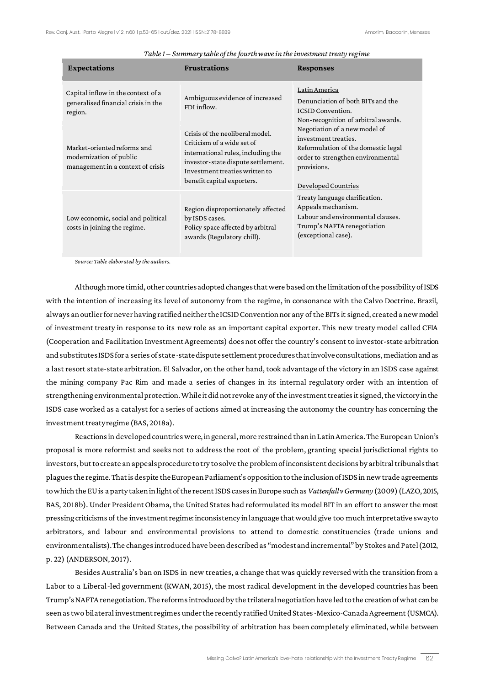| <b>Expectations</b>                                                                         | <b>Frustrations</b>                                                                                                                                                                                       | <b>Responses</b>                                                                                                                                                                                                                                                                                 |
|---------------------------------------------------------------------------------------------|-----------------------------------------------------------------------------------------------------------------------------------------------------------------------------------------------------------|--------------------------------------------------------------------------------------------------------------------------------------------------------------------------------------------------------------------------------------------------------------------------------------------------|
| Capital inflow in the context of a<br>generalised financial crisis in the<br>region.        | Ambiguous evidence of increased<br>FDI inflow.                                                                                                                                                            | Latin America<br>Denunciation of both BITs and the<br><b>ICSID Convention.</b><br>Non-recognition of arbitral awards.<br>Negotiation of a new model of<br>investment treaties.<br>Reformulation of the domestic legal<br>order to strengthen environmental<br>provisions.<br>Developed Countries |
| Market-oriented reforms and<br>modernization of public<br>management in a context of crisis | Crisis of the neoliberal model.<br>Criticism of a wide set of<br>international rules, including the<br>investor-state dispute settlement.<br>Investment treaties written to<br>benefit capital exporters. |                                                                                                                                                                                                                                                                                                  |
| Low economic, social and political<br>costs in joining the regime.                          | Region disproportionately affected<br>by ISDS cases.<br>Policy space affected by arbitral<br>awards (Regulatory chill).                                                                                   | Treaty language clarification.<br>Appeals mechanism.<br>Labour and environmental clauses.<br>Trump's NAFTA renegotiation<br>(exceptional case).                                                                                                                                                  |

### *Table 1 – Summary table of the fourth wave in the investment treaty regime*

*Source: Table elaborated by the authors.*

Although more timid, other countries adopted changes that were based on the limitation of the possibility of ISDS with the intention of increasing its level of autonomy from the regime, in consonance with the Calvo Doctrine. Brazil, always an outlier for never having ratified neither the ICSID Convention nor any of the BITs it signed, created a new model of investment treaty in response to its new role as an important capital exporter. This new treaty model called CFIA (Cooperation and Facilitation Investment Agreements) does not offer the country's consent to investor-state arbitration and substitutes ISDS for a series of state-state dispute settlement procedures that involve consultations, mediation and as a last resort state-state arbitration. El Salvador, on the other hand, took advantage of the victory in an ISDS case against the mining company Pac Rim and made a series of changes in its internal regulatory order with an intention of strengthening environmental protection. While it did not revoke any of the investment treaties it signed, the victory in the ISDS case worked as a catalyst for a series of actions aimed at increasing the autonomy the country has concerning the investment treaty regime (BAS, 2018a).

Reactions in developed countries were, in general, more restrained than in Latin America. The European Union's proposal is more reformist and seeks not to address the root of the problem, granting special jurisdictional rights to investors, but to create an appeals procedure to try to solve the problem of inconsistent decisions by arbitral tribunals that plaguesthe regime. That is despite the European Parliament's opposition to the inclusion of ISDS in new trade agreements to which the EU is a party taken in light of the recent ISDS cases in Europe such as *Vattenfall v Germany* (2009) (LAZO, 2015, BAS, 2018b). Under President Obama, the United States had reformulated its model BIT in an effort to answer the most pressing criticisms of the investment regime: inconsistency in language that would give too much interpretative sway to arbitrators, and labour and environmental provisions to attend to domestic constituencies (trade unions and environmentalists). The changes introduced have been described as "modest and incremental" by Stokes and Patel (2012, p. 22) (ANDERSON, 2017).

Besides Australia's ban on ISDS in new treaties, a change that was quickly reversed with the transition from a Labor to a Liberal-led government (KWAN, 2015), the most radical development in the developed countries has been Trump's NAFTA renegotiation. The reforms introduced by the trilateral negotiation have led to the creation of what can be seen as two bilateral investment regimes under the recently ratified United States-Mexico-Canada Agreement (USMCA). Between Canada and the United States, the possibility of arbitration has been completely eliminated, while between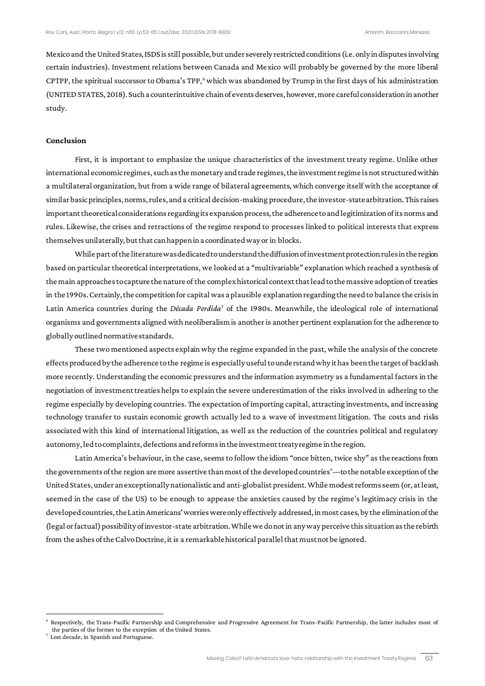Mexico and the United States, ISDS is still possible, but under severely restricted conditions (i.e. only in disputes involving certain industries). Investment relations between Canada and Mexico will probably be governed by the more liberal CPTPP, the spiritual successor to Obama's TPP,<sup>6</sup> which was abandoned by Trump in the first days of his administration (UNITED STATES, 2018). Such a counterintuitive chain of events deserves, however, more careful consideration in another study.

### **Conclusion**

First, it is important to emphasize the unique characteristics of the investment treaty regime. Unlike other international economic regimes, such as the monetary and trade regimes, the investment regime is not structured within a multilateral organization, but from a wide range of bilateral agreements, which converge itself with the acceptance of similar basic principles, norms, rules, and a critical decision-making procedure, the investor-state arbitration. This raises important theoretical considerations regarding its expansion process, the adherence to and legitimization of its norms and rules. Likewise, the crises and retractions of the regime respond to processes linked to political interests that express themselves unilaterally, but that can happen in a coordinated way or in blocks.

While part of the literature was dedicated to understand the diffusion of investment protection rules in the region based on particular theoretical interpretations, we looked at a "multivariable" explanation which reached a synthesis of the main approaches to capture the nature of the complex historical context that lead to the massive adoption of treaties in the 1990s. Certainly, the competition for capital was a plausible explanation regarding the need to balance the crisis in Latin America countries during the *Década Perdida*<sup>7</sup> of the 1980s. Meanwhile, the ideological role of international organisms and governments aligned with neoliberalism is another is another pertinent explanation for the adherence to globally outlined normative standards.

These two mentioned aspects explain why the regime expanded in the past, while the analysis of the concrete effects produced by the adherence to the regime is especially useful to understand why it has been the target of backlash more recently. Understanding the economic pressures and the information asymmetry as a fundamental factors in the negotiation of investment treaties helps to explain the severe underestimation of the risks involved in adhering to the regime especially by developing countries. The expectation of importing capital, attracting investments, and increasing technology transfer to sustain economic growth actually led to a wave of investment litigation. The costs and risks associated with this kind of international litigation, as well as the reduction of the countries political and regulatory autonomy, led to complaints, defections and reforms in the investment treaty regime in the region.

Latin America's behaviour, in the case, seems to follow the idiom "once bitten, twice shy" as the reactions from the governments of the region are more assertive than most of the developed countries'—to the notable exception of the United States, under an exceptionally nationalistic and anti-globalist president. While modest reforms seem (or, at least, seemed in the case of the US) to be enough to appease the anxieties caused by the regime's legitimacy crisis in the developed countries, the Latin Americans' worries were only effectively addressed, in most cases, by the elimination of the (legal or factual) possibility of investor-state arbitration. While we do not in any way perceive this situation as the rebirth from the ashes of the Calvo Doctrine, it is a remarkable historical parallel that must not be ignored.

Respectively, the Trans-Pacific Partnership and Comprehensive and Progressive Agreement for Trans-Pacific Partnership, the latter includes most of the parties of the former to the exception of the United States.

<sup>7</sup> Lost decade, in Spanish and Portuguese.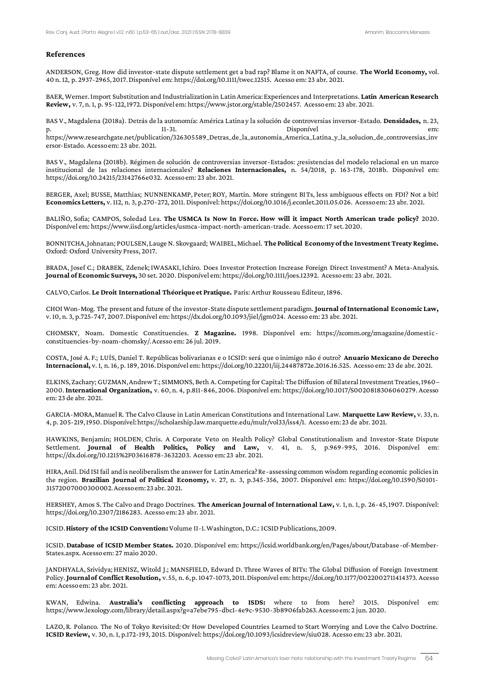#### **References**

ANDERSON, Greg. How did investor-state dispute settlement get a bad rap? Blame it on NAFTA, of course. **The World Economy,** vol. 40 n. 12, p. 2937-2965, 2017. Disponível em: https://doi.org/10.1111/twec.12515. Acesso em: 23 abr. 2021.

BAER, Werner. Import Substitution and Industrialization in Latin America: Experiences and Interpretations. **Latin American Research Review,** v. 7, n. 1, p. 95-122, 1972. Disponível em: https://www.jstor.org/stable/2502457. Acesso em: 23 abr. 2021.

BAS V., Magdalena (2018a). Detrás de la autonomía: América Latina y la solución de controversias inversor-Estado. **Densidades,** n. 23, p. 11-31. Disponível em: https://www.researchgate.net/publication/326305589\_Detras\_de\_la\_autonomia\_America\_Latina\_y\_la\_solucion\_de\_controversias\_inv ersor-Estado. Acesso em: 23 abr. 2021.

BAS V., Magdalena (2018b). Régimen de solución de controversias inversor-Estados: ¿resistencias del modelo relacional en un marco institucional de las relaciones internacionales? **Relaciones Internacionales,** n. 54/2018, p. 163-178, 2018b. Disponível em: https://doi.org/10.24215/23142766e032. Acesso em: 23 abr. 2021.

BERGER, Axel; BUSSE, Matthias; NUNNENKAMP, Peter; ROY, Martin. More stringent BITs, less ambiguous effects on FDI? Not a bit! **Economics Letters,** v. 112, n. 3, p.270-272, 2011. Disponível: https://doi.org/10.1016/j.econlet.2011.05.026. Acesso em: 23 abr. 2021.

BALIÑO, Sofia; CAMPOS, Soledad Lea. **The USMCA Is Now In Force. How will it impact North American trade policy?** 2020. Disponível em: https://www.iisd.org/articles/usmca-impact-north-american-trade. Acesso em: 17 set. 2020.

BONNITCHA, Johnatan; POULSEN, Lauge N. Skovgaard; WAIBEL, Michael. **The Political Economy of the Investment Treaty Regime.**  Oxford: Oxford University Press, 2017.

BRADA, Josef C.; DRABEK, Zdenek; IWASAKI, Ichiro. Does Investor Protection Increase Foreign Direct Investment? A Meta‐Analysis. **Journal of Economic Surveys,** 30 set. 2020. Disponível em: https://doi.org/10.1111/joes.12392. Acesso em: 23 abr. 2021.

CALVO, Carlos. **Le Droit International Théorique et Pratique.** Paris: Arthur Rousseau Éditeur, 1896.

CHOI Won-Mog. The present and future of the investor-State dispute settlement paradigm. **Journal of International Economic Law,** v. 10, n. 3, p.725-747, 2007. Disponível em: https://dx.doi.org/10.1093/jiel/jgm024. Acesso em: 23 abr. 2021.

CHOMSKY, Noam. Domestic Constituencies. **Z Magazine.** 1998. Disponível em: https://zcomm.org/zmagazine/domesticconstituencies-by-noam-chomsky/. Acesso em: 26 jul. 2019.

COSTA, José A. F.; LUÍS, Daniel T. Repúblicas bolivarianas e o ICSID: será que o inimigo não é outro? **Anuario Mexicano de Derecho Internacional,** v. 1, n. 16, p. 189, 2016. Disponível em: https://doi.org/10.22201/iij.24487872e.2016.16.525. Acesso em: 23 de abr. 2021.

ELKINS, Zachary; GUZMAN, Andrew T.; SIMMONS, Beth A. Competing for Capital: The Diffusion of Bilateral Investment Treaties, 1960– 2000. **International Organization,** v. 60, n. 4, p.811-846, 2006. Disponível em: https://doi.org/10.1017/S0020818306060279. Acesso em: 23 de abr. 2021.

GARCIA-MORA, Manuel R. The Calvo Clause in Latin American Constitutions and International Law. **Marquette Law Review,** v. 33, n. 4, p. 205-219, 1950. Disponível: https://scholarship.law.marquette.edu/mulr/vol33/iss4/1. Acesso em: 23 de abr. 2021.

HAWKINS, Benjamin; HOLDEN, Chris. A Corporate Veto on Health Policy? Global Constitutionalism and Investor-State Dispute Settlement. **Journal of Health Politics, Policy and Law,** v. 41, n. 5, p.969-995, 2016. Disponível em: https://dx.doi.org/10.1215%2F03616878-3632203. Acesso em: 23 abr. 2021.

HIRA, Anil. Did ISI fail and is neoliberalism the answer for Latin America? Re-assessing common wisdom regarding economic policies in the region. **Brazilian Journal of Political Economy,** v. 27, n. 3, p.345-356, 2007. Disponível em: https://doi.org/10.1590/S0101- 31572007000300002. Acesso em: 23 abr. 2021.

HERSHEY, Amos S. The Calvo and Drago Doctrines. **The American Journal of International Law,** v. 1, n. 1, p. 26-45, 1907. Disponível: https://doi.org/10.2307/2186283. Acesso em: 23 abr. 2021.

ICSID. **History of the ICSID Convention:** Volume II-1. Washington, D.C.: ICSID Publications, 2009.

ICSID. **Database of ICSID Member States.** 2020. Disponível em: https://icsid.worldbank.org/en/Pages/about/Database-of-Member-States.aspx. Acesso em: 27 maio 2020.

JANDHYALA, Srividya; HENISZ, Witold J.; MANSFIELD, Edward D. Three Waves of BITs: The Global Diffusion of Foreign Investment Policy. **Journal of Conflict Resolution,** v. 55, n. 6, p. 1047-1073, 2011. Disponível em: https://doi.org/10.1177/0022002711414373. Acesso em: Acesso em: 23 abr. 2021.

KWAN, Edwina. **Australia's conflicting approach to ISDS:** where to from here? 2015. Disponível em: https://www.lexology.com/library/detail.aspx?g=a7ebe795-dbc1-4e9c-9530-3b8906fab263. Acesso em: 2 jun. 2020.

LAZO, R. Polanco. The No of Tokyo Revisited: Or How Developed Countries Learned to Start Worrying and Love the Calvo Doctrine. **ICSID Review,** v. 30, n. 1, p.172-193, 2015. Disponível: https://doi.org/10.1093/icsidreview/siu028. Acesso em: 23 abr. 2021.